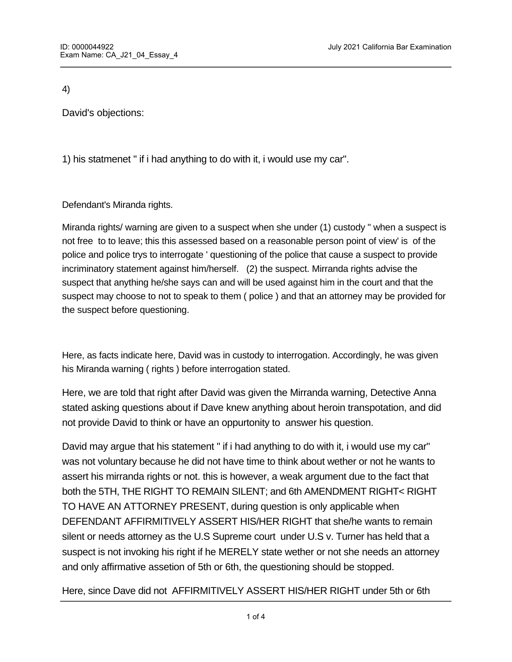4)

David's objections:

1) his statmenet " if i had anything to do with it, i would use my car".

Defendant's Miranda rights.

Miranda rights/ warning are given to a suspect when she under (1) custody " when a suspect is not free to to leave; this this assessed based on a reasonable person point of view' is of the police and police trys to interrogate ' questioning of the police that cause a suspect to provide incriminatory statement against him/herself. (2) the suspect. Mirranda rights advise the suspect that anything he/she says can and will be used against him in the court and that the suspect may choose to not to speak to them ( police ) and that an attorney may be provided for the suspect before questioning.

Here, as facts indicate here, David was in custody to interrogation. Accordingly, he was given his Miranda warning ( rights ) before interrogation stated.

Here, we are told that right after David was given the Mirranda warning, Detective Anna stated asking questions about if Dave knew anything about heroin transpotation, and did not provide David to think or have an oppurtonity to answer his question.

David may argue that his statement " if i had anything to do with it, i would use my car" was not voluntary because he did not have time to think about wether or not he wants to assert his mirranda rights or not. this is however, a weak argument due to the fact that both the 5TH, THE RIGHT TO REMAIN SILENT; and 6th AMENDMENT RIGHT< RIGHT TO HAVE AN ATTORNEY PRESENT, during question is only applicable when DEFENDANT AFFIRMITIVELY ASSERT HIS/HER RIGHT that she/he wants to remain silent or needs attorney as the U.S Supreme court under U.S v. Turner has held that a suspect is not invoking his right if he MERELY state wether or not she needs an attorney and only affirmative assetion of 5th or 6th, the questioning should be stopped.

Here, since Dave did not AFFIRMITIVELY ASSERT HIS/HER RIGHT under 5th or 6th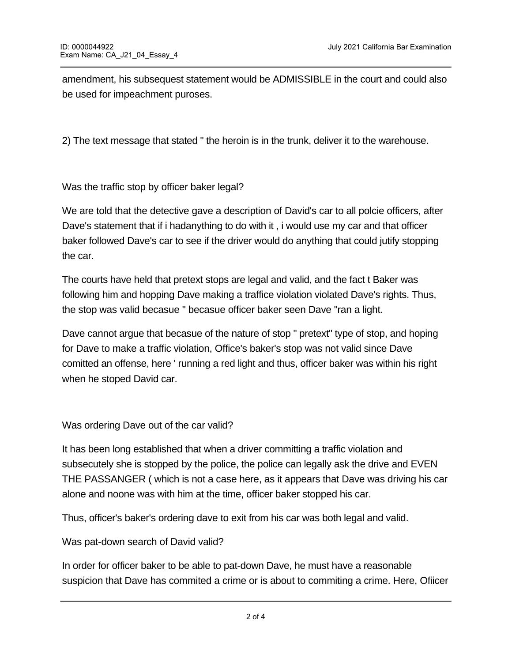amendment, his subsequest statement would be ADMISSIBLE in the court and could also be used for impeachment puroses.

2) The text message that stated " the heroin is in the trunk, deliver it to the warehouse.

Was the traffic stop by officer baker legal?

We are told that the detective gave a description of David's car to all polcie officers, after Dave's statement that if i hadanything to do with it , i would use my car and that officer baker followed Dave's car to see if the driver would do anything that could jutify stopping the car.

The courts have held that pretext stops are legal and valid, and the fact t Baker was following him and hopping Dave making a traffice violation violated Dave's rights. Thus, the stop was valid becasue " becasue officer baker seen Dave "ran a light.

Dave cannot argue that becasue of the nature of stop " pretext" type of stop, and hoping for Dave to make a traffic violation, Office's baker's stop was not valid since Dave comitted an offense, here ' running a red light and thus, officer baker was within his right when he stoped David car.

Was ordering Dave out of the car valid?

It has been long established that when a driver committing a traffic violation and subsecutely she is stopped by the police, the police can legally ask the drive and EVEN THE PASSANGER ( which is not a case here, as it appears that Dave was driving his car alone and noone was with him at the time, officer baker stopped his car.

Thus, officer's baker's ordering dave to exit from his car was both legal and valid.

Was pat-down search of David valid?

In order for officer baker to be able to pat-down Dave, he must have a reasonable suspicion that Dave has commited a crime or is about to commiting a crime. Here, Ofiicer

Baker originally stopped Dave due to a traffic violation which in itself would not allow his to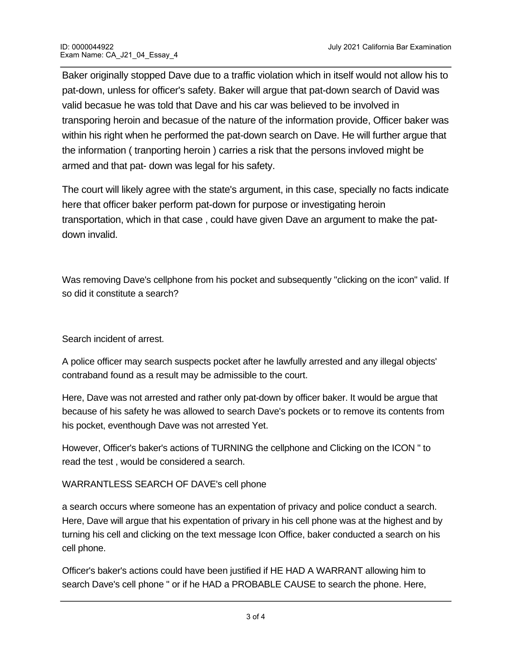Baker originally stopped Dave due to a traffic violation which in itself would not allow his to pat-down, unless for officer's safety. Baker will argue that pat-down search of David was valid becasue he was told that Dave and his car was believed to be involved in transporing heroin and becasue of the nature of the information provide, Officer baker was within his right when he performed the pat-down search on Dave. He will further argue that the information ( tranporting heroin ) carries a risk that the persons invloved might be armed and that pat- down was legal for his safety.

The court will likely agree with the state's argument, in this case, specially no facts indicate here that officer baker perform pat-down for purpose or investigating heroin transportation, which in that case , could have given Dave an argument to make the patdown invalid.

Was removing Dave's cellphone from his pocket and subsequently "clicking on the icon" valid. If so did it constitute a search?

Search incident of arrest.

A police officer may search suspects pocket after he lawfully arrested and any illegal objects' contraband found as a result may be admissible to the court.

Here, Dave was not arrested and rather only pat-down by officer baker. It would be argue that because of his safety he was allowed to search Dave's pockets or to remove its contents from his pocket, eventhough Dave was not arrested Yet.

However, Officer's baker's actions of TURNING the cellphone and Clicking on the ICON " to read the test , would be considered a search.

## WARRANTLESS SEARCH OF DAVE's cell phone

a search occurs where someone has an expentation of privacy and police conduct a search. Here, Dave will argue that his expentation of privary in his cell phone was at the highest and by turning his cell and clicking on the text message Icon Office, baker conducted a search on his cell phone.

Officer's baker's actions could have been justified if HE HAD A WARRANT allowing him to search Dave's cell phone " or if he HAD a PROBABLE CAUSE to search the phone. Here,

 $D$  only committed a traffice of traffice of the might be involved in that he might be involved in  $\mathcal{L}$